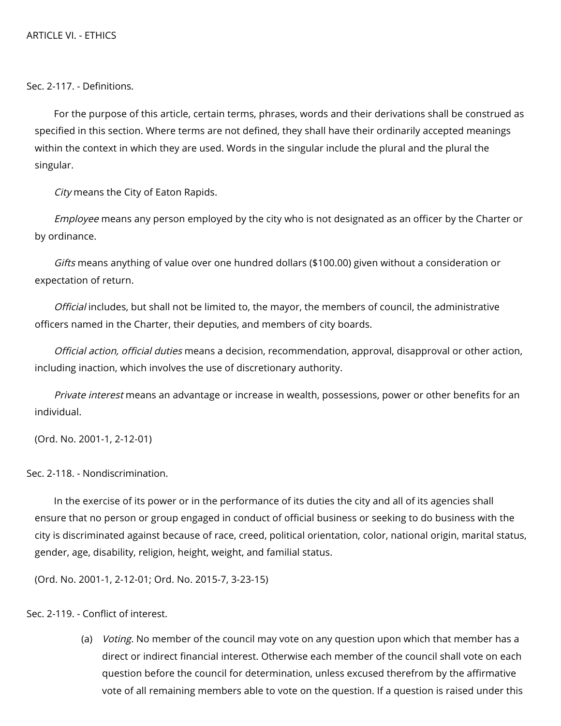Sec. 2-117. - Definitions.

For the purpose of this article, certain terms, phrases, words and their derivations shall be construed as specified in this section. Where terms are not defined, they shall have their ordinarily accepted meanings within the context in which they are used. Words in the singular include the plural and the plural the singular.

City means the City of Eaton Rapids.

*Employee* means any person employed by the city who is not designated as an officer by the Charter or by ordinance.

Gifts means anything of value over one hundred dollars (\$100.00) given without a consideration or expectation of return.

Official includes, but shall not be limited to, the mayor, the members of council, the administrative officers named in the Charter, their deputies, and members of city boards.

Official action, official duties means a decision, recommendation, approval, disapproval or other action, including inaction, which involves the use of discretionary authority.

Private interest means an advantage or increase in wealth, possessions, power or other benefits for an individual.

(Ord. No. 2001-1, 2-12-01)

Sec. 2-118. - Nondiscrimination.

In the exercise of its power or in the performance of its duties the city and all of its agencies shall ensure that no person or group engaged in conduct of official business or seeking to do business with the city is discriminated against because of race, creed, political orientation, color, national origin, marital status, gender, age, disability, religion, height, weight, and familial status.

(Ord. No. 2001-1, 2-12-01; Ord. No. 2015-7, 3-23-15)

Sec. 2-119. - Conflict of interest.

(a) *Voting.* No member of the council may vote on any question upon which that member has a direct or indirect financial interest. Otherwise each member of the council shall vote on each question before the council for determination, unless excused therefrom by the affirmative vote of all remaining members able to vote on the question. If a question is raised under this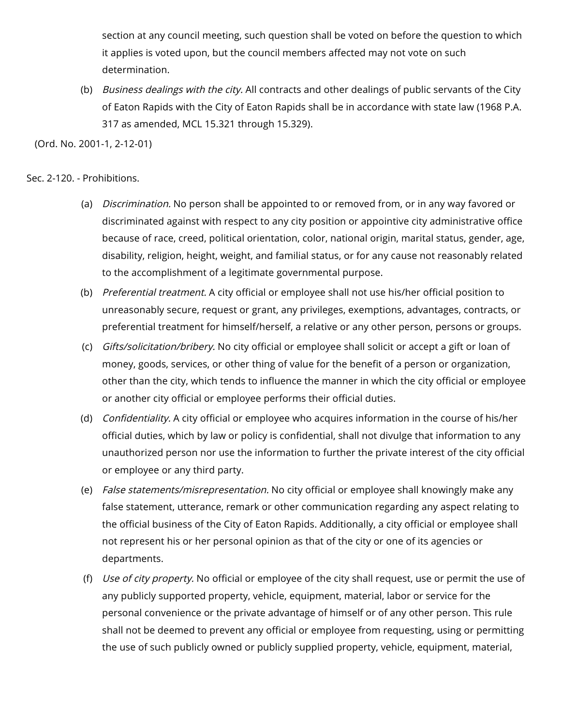section at any council meeting, such question shall be voted on before the question to which it applies is voted upon, but the council members affected may not vote on such determination.

(b) *Business dealings with the city.* All contracts and other dealings of public servants of the City of Eaton Rapids with the City of Eaton Rapids shall be in accordance with state law (1968 P.A. 317 as amended, MCL 15.321 through 15.329).

(Ord. No. 2001-1, 2-12-01)

## Sec. 2-120. - Prohibitions.

- (a) *Discrimination.* No person shall be appointed to or removed from, or in any way favored or discriminated against with respect to any city position or appointive city administrative office because of race, creed, political orientation, color, national origin, marital status, gender, age, disability, religion, height, weight, and familial status, or for any cause not reasonably related to the accomplishment of a legitimate governmental purpose.
- (b) *Preferential treatment.* A city official or employee shall not use his/her official position to unreasonably secure, request or grant, any privileges, exemptions, advantages, contracts, or preferential treatment for himself/herself, a relative or any other person, persons or groups.
- (c) *Gifts/solicitation/bribery.* No city official or employee shall solicit or accept a gift or loan of money, goods, services, or other thing of value for the benefit of a person or organization, other than the city, which tends to influence the manner in which the city official or employee or another city official or employee performs their official duties.
- (d) *Confidentiality.* A city official or employee who acquires information in the course of his/her official duties, which by law or policy is confidential, shall not divulge that information to any unauthorized person nor use the information to further the private interest of the city official or employee or any third party.
- (e) *False statements/misrepresentation.* No city official or employee shall knowingly make any false statement, utterance, remark or other communication regarding any aspect relating to the official business of the City of Eaton Rapids. Additionally, a city official or employee shall not represent his or her personal opinion as that of the city or one of its agencies or departments.
- (f) *Use of city property.* No official or employee of the city shall request, use or permit the use of any publicly supported property, vehicle, equipment, material, labor or service for the personal convenience or the private advantage of himself or of any other person. This rule shall not be deemed to prevent any official or employee from requesting, using or permitting the use of such publicly owned or publicly supplied property, vehicle, equipment, material,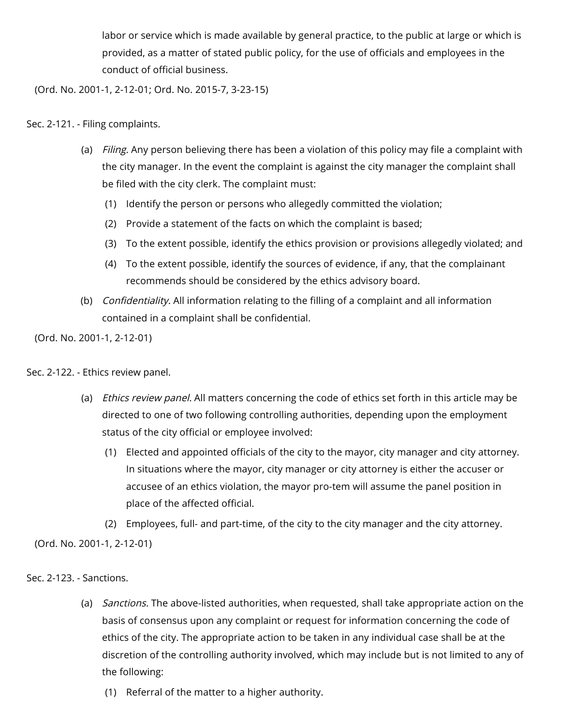labor or service which is made available by general practice, to the public at large or which is provided, as a matter of stated public policy, for the use of officials and employees in the conduct of official business.

(Ord. No. 2001-1, 2-12-01; Ord. No. 2015-7, 3-23-15)

## Sec. 2-121. - Filing complaints.

- (a) *Filing.* Any person believing there has been a violation of this policy may file a complaint with the city manager. In the event the complaint is against the city manager the complaint shall be filed with the city clerk. The complaint must:
	- (1) Identify the person or persons who allegedly committed the violation;
	- (2) Provide a statement of the facts on which the complaint is based;
	- (3) To the extent possible, identify the ethics provision or provisions allegedly violated; and
	- (4) To the extent possible, identify the sources of evidence, if any, that the complainant recommends should be considered by the ethics advisory board.
- (b) *Confidentiality.* All information relating to the filling of a complaint and all information contained in a complaint shall be confidential.

(Ord. No. 2001-1, 2-12-01)

Sec. 2-122. - Ethics review panel.

- (a) *Ethics review panel.* All matters concerning the code of ethics set forth in this article may be directed to one of two following controlling authorities, depending upon the employment status of the city official or employee involved:
	- (1) Elected and appointed officials of the city to the mayor, city manager and city attorney. In situations where the mayor, city manager or city attorney is either the accuser or accusee of an ethics violation, the mayor pro-tem will assume the panel position in place of the affected official.

(2) Employees, full- and part-time, of the city to the city manager and the city attorney.

(Ord. No. 2001-1, 2-12-01)

Sec. 2-123. - Sanctions.

- (a) *Sanctions.* The above-listed authorities, when requested, shall take appropriate action on the basis of consensus upon any complaint or request for information concerning the code of ethics of the city. The appropriate action to be taken in any individual case shall be at the discretion of the controlling authority involved, which may include but is not limited to any of the following:
	- (1) Referral of the matter to a higher authority.